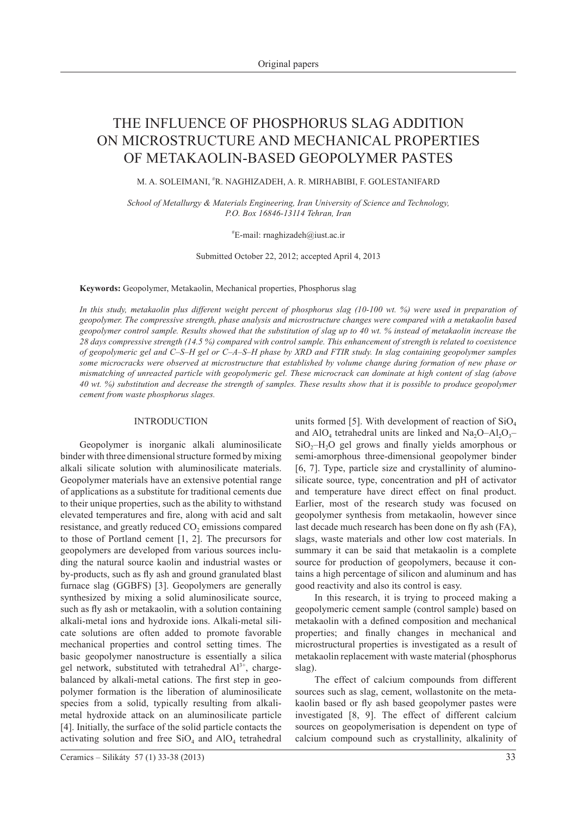# THE INFLUENCE OF PHOSPHORUS SLAG ADDITION ON MICROSTRUCTURE AND MECHANICAL PROPERTIES OF METAKAOLIN-BASED GEOPOLYMER PASTES

M. A. SOLEIMANI, # R. NAGHIZADEH, A. R. MIRHABIBI, F. GOLESTANIFARD

*School of Metallurgy & Materials Engineering, Iran University of Science and Technology, P.O. Box 16846-13114 Tehran, Iran*

# E-mail: rnaghizadeh@iust.ac.ir

Submitted October 22, 2012; accepted April 4, 2013

**Keywords:** Geopolymer, Metakaolin, Mechanical properties, Phosphorus slag

*In this study, metakaolin plus different weight percent of phosphorus slag (10-100 wt. %) were used in preparation of geopolymer. The compressive strength, phase analysis and microstructure changes were compared with a metakaolin based geopolymer control sample. Results showed that the substitution of slag up to 40 wt. % instead of metakaolin increase the 28 days compressive strength (14.5 %) compared with control sample. This enhancement of strength is related to coexistence of geopolymeric gel and C*‒*S*‒*H gel or C*‒*A*‒*S*‒*H phase by XRD and FTIR study. In slag containing geopolymer samples some microcracks were observed at microstructure that established by volume change during formation of new phase or mismatching of unreacted particle with geopolymeric gel. These microcrack can dominate at high content of slag (above 40 wt. %) substitution and decrease the strength of samples. These results show that it is possible to produce geopolymer cement from waste phosphorus slages.*

# **INTRODUCTION**

Geopolymer is inorganic alkali aluminosilicate binder with three dimensional structure formed by mixing alkali silicate solution with aluminosilicate materials. Geopolymer materials have an extensive potential range of applications as a substitute for traditional cements due to their unique properties, such as the ability to withstand elevated temperatures and fire, along with acid and salt resistance, and greatly reduced CO<sub>2</sub> emissions compared to those of Portland cement [1, 2]. The precursors for geopolymers are developed from various sources including the natural source kaolin and industrial wastes or by-products, such as fly ash and ground granulated blast furnace slag (GGBFS) [3]. Geopolymers are generally synthesized by mixing a solid aluminosilicate source, such as fly ash or metakaolin, with a solution containing alkali-metal ions and hydroxide ions. Alkali-metal silicate solutions are often added to promote favorable mechanical properties and control setting times. The basic geopolymer nanostructure is essentially a silica gel network, substituted with tetrahedral  $Al^{3+}$ , chargebalanced by alkali-metal cations. The first step in geopolymer formation is the liberation of aluminosilicate species from a solid, typically resulting from alkalimetal hydroxide attack on an aluminosilicate particle [4]. Initially, the surface of the solid particle contacts the activating solution and free  $SiO<sub>4</sub>$  and  $AlO<sub>4</sub>$  tetrahedral

units formed [5]. With development of reaction of  $SiO<sub>4</sub>$ and AlO<sub>4</sub> tetrahedral units are linked and Na<sub>2</sub>O–Al<sub>2</sub>O<sub>3</sub>–  $SiO<sub>2</sub>–H<sub>2</sub>O$  gel grows and finally yields amorphous or semi-amorphous three-dimensional geopolymer binder [6, 7]. Type, particle size and crystallinity of aluminosilicate source, type, concentration and pH of activator and temperature have direct effect on final product. Earlier, most of the research study was focused on geopolymer synthesis from metakaolin, however since last decade much research has been done on fly ash (FA), slags, waste materials and other low cost materials. In summary it can be said that metakaolin is a complete source for production of geopolymers, because it contains a high percentage of silicon and aluminum and has good reactivity and also its control is easy.

In this research, it is trying to proceed making a geopolymeric cement sample (control sample) based on metakaolin with a defined composition and mechanical properties; and finally changes in mechanical and microstructural properties is investigated as a result of metakaolin replacement with waste material (phosphorus slag).

The effect of calcium compounds from different sources such as slag, cement, wollastonite on the metakaolin based or fly ash based geopolymer pastes were investigated [8, 9]. The effect of different calcium sources on geopolymerisation is dependent on type of calcium compound such as crystallinity, alkalinity of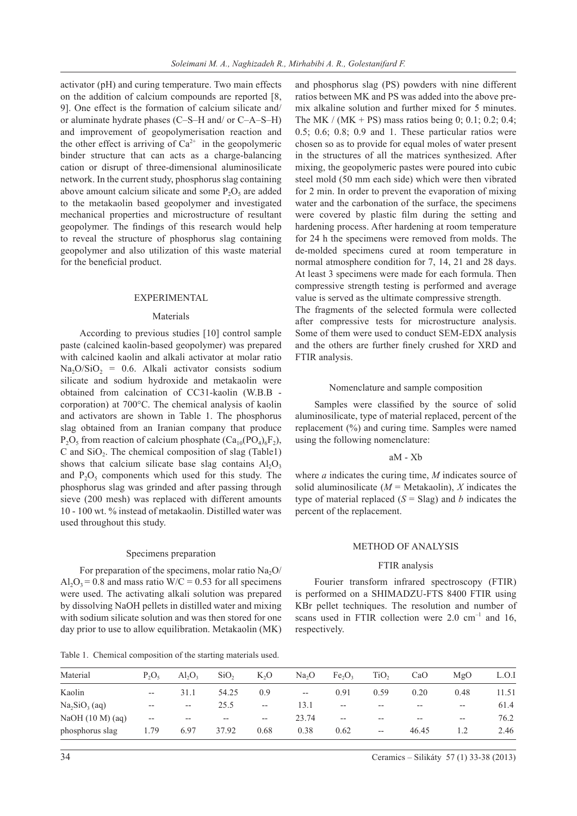activator (pH) and curing temperature. Two main effects on the addition of calcium compounds are reported [8, 9]. One effect is the formation of calcium silicate and/ or aluminate hydrate phases (C–S–H and/ or C–A–S–H) and improvement of geopolymerisation reaction and the other effect is arriving of  $Ca^{2+}$  in the geopolymeric binder structure that can acts as a charge-balancing cation or disrupt of three-dimensional aluminosilicate network. In the current study, phosphorus slag containing above amount calcium silicate and some  $P_2O_5$  are added to the metakaolin based geopolymer and investigated mechanical properties and microstructure of resultant geopolymer. The findings of this research would help to reveal the structure of phosphorus slag containing geopolymer and also utilization of this waste material for the beneficial product.

## **EXPERIMENTAL**

# Materials

According to previous studies [10] control sample paste (calcined kaolin-based geopolymer) was prepared with calcined kaolin and alkali activator at molar ratio Na<sub>2</sub>O/SiO<sub>2</sub> = 0.6. Alkali activator consists sodium silicate and sodium hydroxide and metakaolin were obtained from calcination of CC31-kaolin (W.B.B corporation) at 700°C. The chemical analysis of kaolin and activators are shown in Table 1. The phosphorus slag obtained from an Iranian company that produce  $P_2O_5$  from reaction of calcium phosphate  $(Ca_{10}(PO_4)_6F_2)$ , C and  $SiO<sub>2</sub>$ . The chemical composition of slag (Table1) shows that calcium silicate base slag contains  $A<sub>1</sub>O<sub>3</sub>$ and  $P_2O_5$  components which used for this study. The phosphorus slag was grinded and after passing through sieve (200 mesh) was replaced with different amounts 10 - 100 wt. % instead of metakaolin. Distilled water was used throughout this study.

#### Specimens preparation

For preparation of the specimens, molar ratio  $Na<sub>2</sub>O$  $A<sub>1</sub>·O<sub>2</sub> = 0.8$  and mass ratio W/C = 0.53 for all specimens were used. The activating alkali solution was prepared by dissolving NaOH pellets in distilled water and mixing with sodium silicate solution and was then stored for one day prior to use to allow equilibration. Metakaolin (MK)

Table 1. Chemical composition of the starting materials used.

and phosphorus slag (PS) powders with nine different ratios between MK and PS was added into the above premix alkaline solution and further mixed for 5 minutes. The MK / (MK + PS) mass ratios being 0; 0.1; 0.2; 0.4; 0.5; 0.6; 0.8; 0.9 and 1. These particular ratios were chosen so as to provide for equal moles of water present in the structures of all the matrices synthesized. After mixing, the geopolymeric pastes were poured into cubic steel mold (50 mm each side) which were then vibrated for 2 min. In order to prevent the evaporation of mixing water and the carbonation of the surface, the specimens were covered by plastic film during the setting and hardening process. After hardening at room temperature for 24 h the specimens were removed from molds. The de-molded specimens cured at room temperature in normal atmosphere condition for 7, 14, 21 and 28 days. At least 3 specimens were made for each formula. Then compressive strength testing is performed and average value is served as the ultimate compressive strength.

The fragments of the selected formula were collected after compressive tests for microstructure analysis. Some of them were used to conduct SEM-EDX analysis and the others are further finely crushed for XRD and FTIR analysis.

# Nomenclature and sample composition

Samples were classified by the source of solid aluminosilicate, type of material replaced, percent of the replacement (%) and curing time. Samples were named using the following nomenclature:

## aM - Xb

where *a* indicates the curing time, *M* indicates source of solid aluminosilicate  $(M = \text{Metakaolin})$ , *X* indicates the type of material replaced  $(S = Slag)$  and *b* indicates the percent of the replacement.

# Method of analysis

# FTIR analysis

Fourier transform infrared spectroscopy (FTIR) is performed on a SHIMADZU-FTS 8400 FTIR using KBr pellet techniques. The resolution and number of scans used in FTIR collection were  $2.0 \text{ cm}^{-1}$  and 16, respectively.

| Material         | $P_2O_5$                 | $Al_2O_2$ | SiO <sub>2</sub> | $K_2O$                   | Na <sub>2</sub> O                     | Fe <sub>2</sub> O <sub>3</sub> | TiO <sub>2</sub>                      | CaO                                                   | MgO     | L.O.I |
|------------------|--------------------------|-----------|------------------|--------------------------|---------------------------------------|--------------------------------|---------------------------------------|-------------------------------------------------------|---------|-------|
| Kaolin           | $- -$                    | 31.1      | 54.25            | 0.9                      | $\hspace{0.05cm}$ – $\hspace{0.05cm}$ | 0.91                           | 0.59                                  | 0.20                                                  | 0.48    | 11.51 |
| $Na2SiO3$ (aq)   | $- -$                    | $- -$     | 25.5             | $\overline{\phantom{m}}$ | 13.1                                  | $\overline{\phantom{m}}$       | $- -$                                 | $- -$                                                 | $-\,-$  | 61.4  |
| NaOH (10 M) (aq) | $\overline{\phantom{m}}$ | $- -$     | $- -$            | $-\, -$                  | 23.74                                 | $\overline{\phantom{m}}$       | $- -$                                 | $\hspace{0.05cm} - \hspace{0.05cm} - \hspace{0.05cm}$ | $-\, -$ | 76.2  |
| phosphorus slag  | 1.79                     | 6.97      | 37.92            | 0.68                     | 0.38                                  | 0.62                           | $\hspace{0.05cm}$ – $\hspace{0.05cm}$ | 46.45                                                 |         | 2.46  |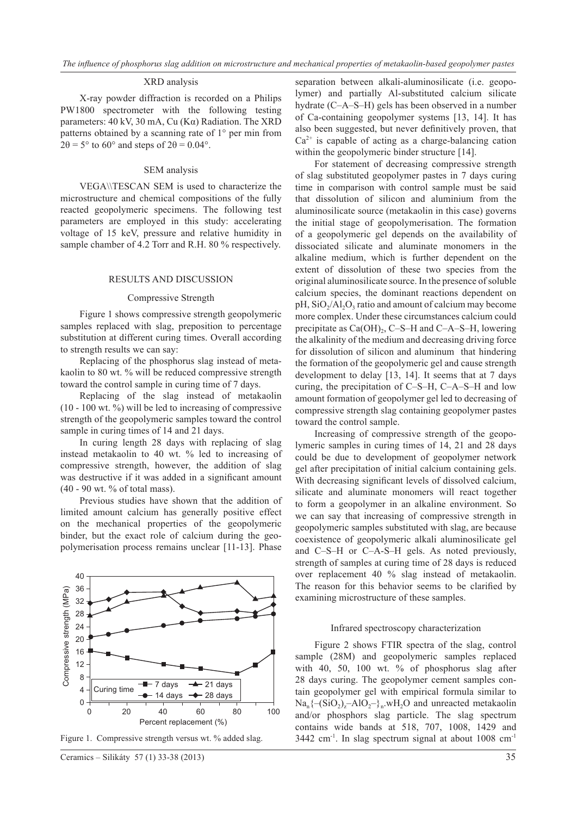## XRD analysis

 X-ray powder diffraction is recorded on a Philips PW1800 spectrometer with the following testing parameters: 40 kV, 30 mA, Cu (Kα) Radiation. The XRD patterns obtained by a scanning rate of 1° per min from  $2\theta = 5^{\circ}$  to 60° and steps of  $2\theta = 0.04^{\circ}$ .

# SEM analysis

VEGA\\TESCAN SEM is used to characterize the microstructure and chemical compositions of the fully reacted geopolymeric specimens. The following test parameters are employed in this study: accelerating voltage of 15 keV, pressure and relative humidity in sample chamber of 4.2 Torr and R.H. 80 % respectively.

#### Results and discussion

#### Compressive Strength

Figure 1 shows compressive strength geopolymeric samples replaced with slag, preposition to percentage substitution at different curing times. Overall according to strength results we can say:

Replacing of the phosphorus slag instead of metakaolin to 80 wt. % will be reduced compressive strength toward the control sample in curing time of 7 days.

Replacing of the slag instead of metakaolin  $(10 - 100 \text{ wt. } %)$  will be led to increasing of compressive strength of the geopolymeric samples toward the control sample in curing times of 14 and 21 days.

In curing length 28 days with replacing of slag instead metakaolin to 40 wt. % led to increasing of compressive strength, however, the addition of slag was destructive if it was added in a significant amount (40 - 90 wt. % of total mass).

Previous studies have shown that the addition of limited amount calcium has generally positive effect on the mechanical properties of the geopolymeric binder, but the exact role of calcium during the geopolymerisation process remains unclear [11-13]. Phase



separation between alkali-aluminosilicate (i.e. geopolymer) and partially Al-substituted calcium silicate hydrate (C–A–S–H) gels has been observed in a number of Ca-containing geopolymer systems [13, 14]. It has also been suggested, but never definitively proven, that  $Ca<sup>2+</sup>$  is capable of acting as a charge-balancing cation within the geopolymeric binder structure [14].

For statement of decreasing compressive strength of slag substituted geopolymer pastes in 7 days curing time in comparison with control sample must be said that dissolution of silicon and aluminium from the aluminosilicate source (metakaolin in this case) governs the initial stage of geopolymerisation. The formation of a geopolymeric gel depends on the availability of dissociated silicate and aluminate monomers in the alkaline medium, which is further dependent on the extent of dissolution of these two species from the original aluminosilicate source. In the presence of soluble calcium species, the dominant reactions dependent on  $pH$ ,  $SiO<sub>2</sub>/Al<sub>2</sub>O<sub>3</sub>$  ratio and amount of calcium may become more complex. Under these circumstances calcium could precipitate as  $Ca(OH)_{2}$ , C–S–H and C–A–S–H, lowering the alkalinity of the medium and decreasing driving force for dissolution of silicon and aluminum that hindering the formation of the geopolymeric gel and cause strength development to delay [13, 14]. It seems that at 7 days curing, the precipitation of C–S–H, C–A–S–H and low amount formation of geopolymer gel led to decreasing of compressive strength slag containing geopolymer pastes toward the control sample.

Increasing of compressive strength of the geopolymeric samples in curing times of 14, 21 and 28 days could be due to development of geopolymer network gel after precipitation of initial calcium containing gels. With decreasing significant levels of dissolved calcium, silicate and aluminate monomers will react together to form a geopolymer in an alkaline environment. So we can say that increasing of compressive strength in geopolymeric samples substituted with slag, are because coexistence of geopolymeric alkali aluminosilicate gel and C–S–H or C–A-S–H gels. As noted previously, strength of samples at curing time of 28 days is reduced over replacement 40 % slag instead of metakaolin. The reason for this behavior seems to be clarified by examining microstructure of these samples.

### Infrared spectroscopy characterization

Figure 2 shows FTIR spectra of the slag, control sample (28M) and geopolymeric samples replaced with 40, 50, 100 wt. % of phosphorus slag after 28 days curing. The geopolymer cement samples contain geopolymer gel with empirical formula similar to  $Na_n\{-(SiO_2)_z-AIO_2-\}_n.WH_2O$  and unreacted metakaolin and/or phosphors slag particle. The slag spectrum contains wide bands at 518, 707, 1008, 1429 and Figure 1. Compressive strength versus wt. % added slag.  $3442 \text{ cm}^{-1}$ . In slag spectrum signal at about 1008 cm<sup>-1</sup>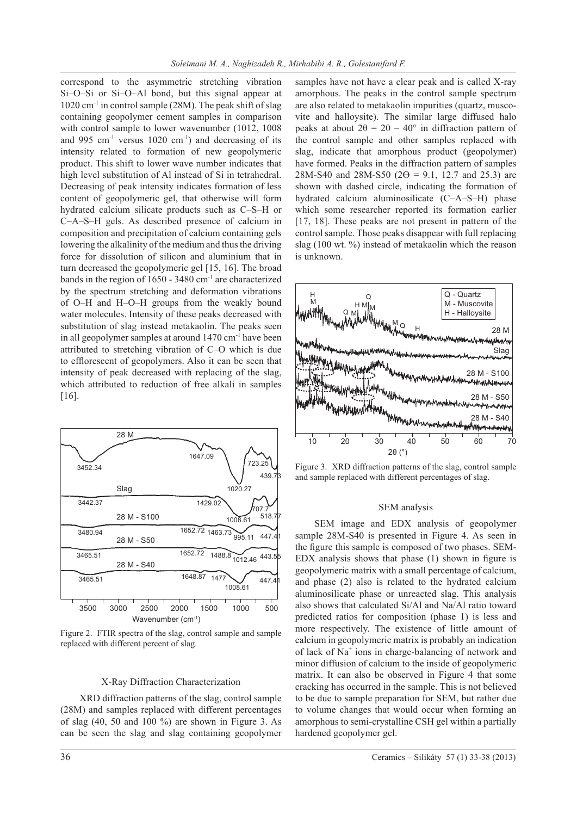correspond to the asymmetric stretching vibration Si–O–Si or Si–O–Al bond, but this signal appear at  $1020 \text{ cm}^{-1}$  in control sample (28M). The peak shift of slag containing geopolymer cement samples in comparison with control sample to lower wavenumber (1012, 1008 and 995  $cm^{-1}$  versus 1020  $cm^{-1}$ ) and decreasing of its intensity related to formation of new geopolymeric product. This shift to lower wave number indicates that high level substitution of Al instead of Si in tetrahedral. Decreasing of peak intensity indicates formation of less content of geopolymeric gel, that otherwise will form hydrated calcium silicate products such as C-S-H or C-A-S-H gels. As described presence of calcium in composition and precipitation of calcium containing gels lowering the alkalinity of the medium and thus the driving force for dissolution of silicon and aluminium that in turn decreased the geopolymeric gel [15, 16]. The broad bands in the region of 1650 - 3480 cm<sup>-1</sup> are characterized by the spectrum stretching and deformation vibrations of O‒H and H–O–H groups from the weakly bound water molecules. Intensity of these peaks decreased with substitution of slag instead metakaolin. The peaks seen in all geopolymer samples at around 1470 cm-1 have been attributed to stretching vibration of C–O which is due to efflorescent of geopolymers. Also it can be seen that intensity of peak decreased with replacing of the slag, which attributed to reduction of free alkali in samples [16].



Figure 2. FTIR spectra of the slag, control sample and sample replaced with different percent of slag.

### X-Ray Diffraction Characterization

 XRD diffraction patterns of the slag, control sample (28M) and samples replaced with different percentages of slag  $(40, 50, 40, 100, 9)$  are shown in Figure 3. As can be seen the slag and slag containing geopolymer

samples have not have a clear peak and is called X-ray amorphous. The peaks in the control sample spectrum are also related to metakaolin impurities (quartz, muscovite and halloysite). The similar large diffused halo peaks at about  $2\theta = 20 - 40^{\circ}$  in diffraction pattern of the control sample and other samples replaced with slag, indicate that amorphous product (geopolymer) have formed. Peaks in the diffraction pattern of samples 28M-S40 and 28M-S50 ( $2\Theta = 9.1$ , 12.7 and 25.3) are shown with dashed circle, indicating the formation of hydrated calcium aluminosilicate (C-A–S–H) phase which some researcher reported its formation earlier [17, 18]. These peaks are not present in pattern of the control sample. Those peaks disappear with full replacing slag (100 wt. %) instead of metakaolin which the reason is unknown.



Figure 3. XRD diffraction patterns of the slag, control sample and sample replaced with different percentages of slag.

#### SEM analysis

SEM image and EDX analysis of geopolymer sample 28M-S40 is presented in Figure 4. As seen in the figure this sample is composed of two phases. SEM-EDX analysis shows that phase (1) shown in figure is geopolymeric matrix with a small percentage of calcium, and phase (2) also is related to the hydrated calcium aluminosilicate phase or unreacted slag. This analysis also shows that calculated Si/Al and Na/Al ratio toward predicted ratios for composition (phase 1) is less and more respectively. The existence of little amount of calcium in geopolymeric matrix is probably an indication of lack of Na<sup>+</sup> ions in charge-balancing of network and minor diffusion of calcium to the inside of geopolymeric matrix. It can also be observed in Figure 4 that some cracking has occurred in the sample. This is not believed to be due to sample preparation for SEM, but rather due to volume changes that would occur when forming an amorphous to semi-crystalline CSH gel within a partially hardened geopolymer gel.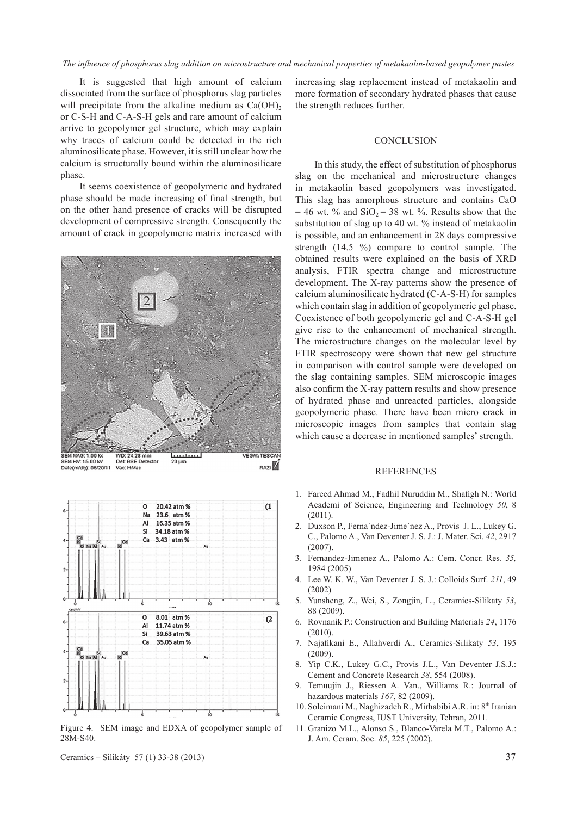It is suggested that high amount of calcium dissociated from the surface of phosphorus slag particles will precipitate from the alkaline medium as  $Ca(OH)$ , or C-S-H and C-A-S-H gels and rare amount of calcium arrive to geopolymer gel structure, which may explain why traces of calcium could be detected in the rich aluminosilicate phase. However, it is still unclear how the calcium is structurally bound within the aluminosilicate phase.

It seems coexistence of geopolymeric and hydrated phase should be made increasing of final strength, but on the other hand presence of cracks will be disrupted development of compressive strength. Consequently the amount of crack in geopolymeric matrix increased with





Figure 4. SEM image and EDXA of geopolymer sample of 28M-S40.

Ceramics – Silikáty 57 (1) 33-38 (2013) 37

increasing slag replacement instead of metakaolin and more formation of secondary hydrated phases that cause the strength reduces further.

#### **CONCLUSION**

In this study, the effect of substitution of phosphorus slag on the mechanical and microstructure changes in metakaolin based geopolymers was investigated. This slag has amorphous structure and contains CaO  $= 46$  wt. % and SiO<sub>2</sub> = 38 wt. %. Results show that the substitution of slag up to 40 wt. % instead of metakaolin is possible, and an enhancement in 28 days compressive strength (14.5 %) compare to control sample. The obtained results were explained on the basis of XRD analysis, FTIR spectra change and microstructure development. The X-ray patterns show the presence of calcium aluminosilicate hydrated (C-A-S-H) for samples which contain slag in addition of geopolymeric gel phase. Coexistence of both geopolymeric gel and C-A-S-H gel give rise to the enhancement of mechanical strength. The microstructure changes on the molecular level by FTIR spectroscopy were shown that new gel structure in comparison with control sample were developed on the slag containing samples. SEM microscopic images also confirm the X-ray pattern results and show presence of hydrated phase and unreacted particles, alongside geopolymeric phase. There have been micro crack in microscopic images from samples that contain slag which cause a decrease in mentioned samples' strength.

# **REFERENCES**

- 1. Fareed Ahmad M., Fadhil Nuruddin M., Shafigh N.: World Academi of Science, Engineering and Technology *50*, 8 (2011).
- 2. Duxson P., Ferna´ndez-Jime´nez A., Provis J. L., Lukey G. C., Palomo A., Van Deventer J. S. J.: J. Mater. Sci. *42*, 2917 (2007).
- 3. Fernandez-Jimenez A., Palomo A.: Cem. Concr. Res. *35,* 1984 (2005)
- 4. Lee W. K. W., Van Deventer J. S. J.: Colloids Surf. *211*, 49 (2002)
- 5. Yunsheng, Z., Wei, S., Zongjin, L., Ceramics-Silikaty *53*, 88 (2009).
- 6. Rovnanik P.: Construction and Building Materials *24*, 1176 (2010).
- 7. Najafikani E., Allahverdi A., Ceramics-Silikaty *53*, 195 (2009).
- 8. Yip C.K., Lukey G.C., Provis J.L., Van Deventer J.S.J.: Cement and Concrete Research *38*, 554 (2008).
- 9. Temuujin J., Riessen A. Van., Williams R.: Journal of hazardous materials *167*, 82 (2009).
- 10. Soleimani M., Naghizadeh R., Mirhabibi A.R. in: 8<sup>th</sup> Iranian Ceramic Congress, IUST University, Tehran, 2011.
- 11. Granizo M.L., Alonso S., Blanco-Varela M.T., Palomo A.: J. Am. Ceram. Soc. *85*, 225 (2002).